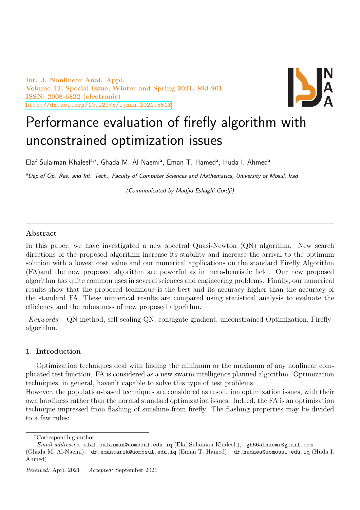Int. J. Nonlinear Anal. Appl. Volume 12, Special Issue, Winter and Spring 2021, 893-901 ISSN: 2008-6822 (electronic) <http://dx.doi.org/10.22075/ijnaa.2021.5518>



# Performance evaluation of firefly algorithm with unconstrained optimization issues

Elaf Sulaiman Khaleel<sup>a,\*</sup>, Ghada M. Al-Naemi<sup>a</sup>, Eman T. Hamed<sup>a</sup>, Huda I. Ahmed<sup>a</sup>

aDep.of Op. Res. and Int. Tech., Faculty of Computer Sciences and Mathematics, University of Mosul, Iraq

(Communicated by Madjid Eshaghi Gordji)

## Abstract

In this paper, we have investigated a new spectral Quasi-Newton (QN) algorithm. New search directions of the proposed algorithm increase its stability and increase the arrival to the optimum solution with a lowest cost value and our numerical applications on the standard Firefly Algorithm (FA)and the new proposed algorithm are powerful as in meta-heuristic field. Our new proposed algorithm has quite common uses in several sciences and engineering problems. Finally, our numerical results show that the proposed technique is the best and its accuracy higher than the accuracy of the standard FA. These numerical results are compared using statistical analysis to evaluate the efficiency and the robustness of new proposed algorithm.

Keywords: QN-method, self-scaling QN, conjugate gradient, unconstrained Optimization, Firefly algorithm.

## 1. Introduction

Optimization techniques deal with finding the minimum or the maximum of any nonlinear complicated test function. FA is considered as a new swarm intelligence planned algorithm. Optimization techniques, in general, haven't capable to solve this type of test problems.

However, the population-based techniques are considered as resolution optimization issues, with their own hardiness rather than the normal standard optimization issues. Indeed, the FA is an optimization technique impressed from flashing of sunshine from firefly. The flashing properties may be divided to a few rules:

<sup>∗</sup>Corresponding author

Email addresses: elaf.sulaiman@uomosul.edu.iq (Elaf Sulaiman Khaleel), gh66alnaemi@gmail.com

<sup>(</sup>Ghada M. Al-Naemi), dr.emantarik@uomosul.edu.iq (Eman T. Hamed), dr.hudaea@uomosul.edu.iq (Huda I. Ahmed)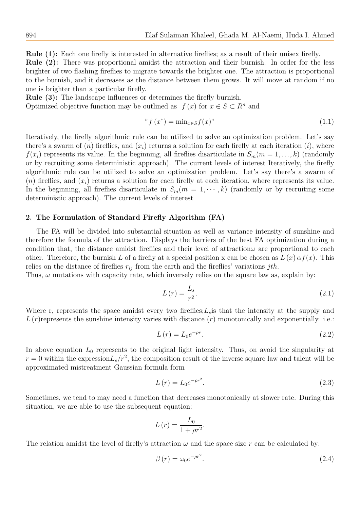Rule (1): Each one firefly is interested in alternative fireflies; as a result of their unisex firefly.

Rule (2): There was proportional amidst the attraction and their burnish. In order for the less brighter of two flashing fireflies to migrate towards the brighter one. The attraction is proportional to the burnish, and it decreases as the distance between them grows. It will move at random if no one is brighter than a particular firefly.

Rule (3): The landscape influences or determines the firefly burnish.

Optimized objective function may be outlined as  $f(x)$  for  $x \in S \subset R^n$  and

$$
"f\left(x^*\right) = \min_{x \in S} f(x)"\tag{1.1}
$$

Iteratively, the firefly algorithmic rule can be utilized to solve an optimization problem. Let's say there's a swarm of  $(n)$  fireflies, and  $(x_i)$  returns a solution for each firefly at each iteration  $(i)$ , where  $f(x_i)$  represents its value. In the beginning, all fireflies disarticulate in  $S_m(m = 1, \ldots, k)$  (randomly or by recruiting some deterministic approach). The current levels of interest Iteratively, the firefly algorithmic rule can be utilized to solve an optimization problem. Let's say there's a swarm of (n) fireflies, and  $(x_i)$  returns a solution for each firefly at each iteration, where represents its value. In the beginning, all fireflies disarticulate in  $S_m(m = 1, \dots, k)$  (randomly or by recruiting some deterministic approach). The current levels of interest

#### 2. The Formulation of Standard Firefly Algorithm (FA)

The FA will be divided into substantial situation as well as variance intensity of sunshine and therefore the formula of the attraction. Displays the barriers of the best FA optimization during a condition that, the distance amidst fireflies and their level of attraction $\omega$  are proportional to each other. Therefore, the burnish L of a firefly at a special position x can be chosen as  $L(x) \alpha f(x)$ . This relies on the distance of fireflies  $r_{ij}$  from the earth and the fireflies' variations jth.

Thus,  $\omega$  mutations with capacity rate, which inversely relies on the square law as, explain by:

$$
L\left(r\right) = \frac{L_s}{r^2}.\tag{2.1}
$$

Where r, represents the space amidst every two fireflies;  $L_s$  is that the intensity at the supply and  $L(r)$  represents the sunshine intensity varies with distance  $(r)$  monotonically and exponentially. i.e.:

$$
L(r) = L_0 e^{-\rho r}.
$$
\n
$$
(2.2)
$$

In above equation  $L_0$  represents to the original light intensity. Thus, on avoid the singularity at  $r = 0$  within the expression $L_s/r^2$ , the composition result of the inverse square law and talent will be approximated mistreatment Gaussian formula form

$$
L(r) = L_0 e^{-\rho r^2}.\tag{2.3}
$$

Sometimes, we tend to may need a function that decreases monotonically at slower rate. During this situation, we are able to use the subsequent equation:

$$
L(r) = \frac{L_0}{1 + \rho r^2}
$$

.

The relation amidst the level of firefly's attraction  $\omega$  and the space size r can be calculated by:

$$
\beta(r) = \omega_0 e^{-\rho r^2}.
$$
\n(2.4)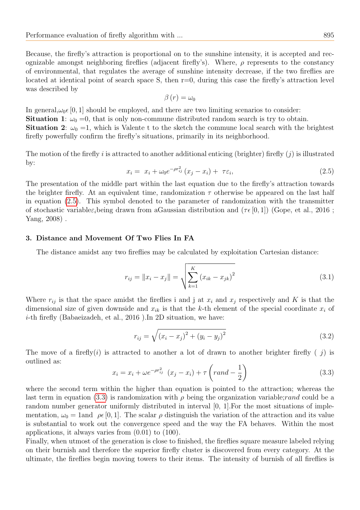Because, the firefly's attraction is proportional on to the sunshine intensity, it is accepted and recognizable amongst neighboring fireflies (adjacent firefly's). Where,  $\rho$  represents to the constancy of environmental, that regulates the average of sunshine intensity decrease, if the two fireflies are located at identical point of search space S, then r=0, during this case the firefly's attraction level was described by

$$
\beta \left( r\right) =\omega _{0}
$$

In general,  $\omega_0 \in [0, 1]$  should be employed, and there are two limiting scenarios to consider: **Situation 1:**  $\omega_0 = 0$ , that is only non-commune distributed random search is try to obtain. **Situation 2:**  $\omega_0 = 1$ , which is Valente t to the sketch the commune local search with the brightest firefly powerfully confirm the firefly's situations, primarily in its neighborhood.

The motion of the firefly i is attracted to another additional enticing (brighter) firefly  $(j)$  is illustrated by:

<span id="page-2-0"></span>
$$
x_i = x_i + \omega_0 e^{-\rho r_{ij}^2} (x_j - x_i) + \tau \varepsilon_i,
$$
\n(2.5)

The presentation of the middle part within the last equation due to the firefly's attraction towards the brighter firefly. At an equivalent time, randomization  $\tau$  otherwise be appeared on the last half in equation [\(2.5\)](#page-2-0). This symbol denoted to the parameter of randomization with the transmitter of stochastic variables<sub>i</sub>being drawn from aGaussian distribution and  $(\tau \in [0, 1])$  (Gope, et al., 2016; Yang, 2008) .

#### 3. Distance and Movement Of Two Flies In FA

The distance amidst any two fireflies may be calculated by exploitation Cartesian distance:

$$
r_{ij} = \|x_i - x_j\| = \sqrt{\sum_{k=1}^{K} (x_{ik} - x_{jk})^2}
$$
 (3.1)

Where  $r_{ij}$  is that the space amidst the fireflies i and j at  $x_i$  and  $x_j$  respectively and K is that the dimensional size of given downside and  $x_{ik}$  is that the k-th element of the special coordinate  $x_i$  of i-th firefly (Babaeizadeh, et al., 2016 ).In 2D situation, we have:

$$
r_{ij} = \sqrt{(x_i - x_j)^2 + (y_i - y_j)^2}
$$
\n(3.2)

The move of a firefly(i) is attracted to another a lot of drawn to another brighter firefly (*j*) is outlined as:

<span id="page-2-1"></span>
$$
x_i = x_i + \omega e^{-\rho r_{ij}^2} \left( x_j - x_i \right) + \tau \left( \text{rand} - \frac{1}{2} \right) \tag{3.3}
$$

where the second term within the higher than equation is pointed to the attraction; whereas the last term in equation [\(3.3\)](#page-2-1) is randomization with  $\rho$  being the organization variable;*rand* could be a random number generator uniformly distributed in interval [0, 1].For the most situations of implementation,  $\omega_0 = 1$  and  $\rho \in [0, 1]$ . The scalar  $\rho$  distinguish the variation of the attraction and its value is substantial to work out the convergence speed and the way the FA behaves. Within the most applications, it always varies from (0.01) to (100).

Finally, when utmost of the generation is close to finished, the fireflies square measure labeled relying on their burnish and therefore the superior firefly cluster is discovered from every category. At the ultimate, the fireflies begin moving towers to their items. The intensity of burnish of all fireflies is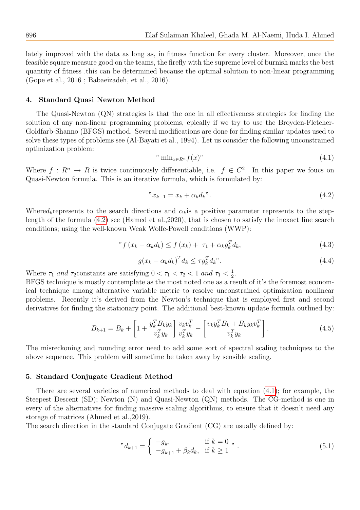lately improved with the data as long as, in fitness function for every cluster. Moreover, once the feasible square measure good on the teams, the firefly with the supreme level of burnish marks the best quantity of fitness .this can be determined because the optimal solution to non-linear programming (Gope et al., 2016 ; Babaeizadeh, et al., 2016).

#### 4. Standard Quasi Newton Method

The Quasi-Newton (QN) strategies is that the one in all effectiveness strategies for finding the solution of any non-linear programming problems, epically if we try to use the Broyden-Fletcher-Goldfarb-Shanno (BFGS) method. Several modifications are done for finding similar updates used to solve these types of problems see (Al-Bayati et al., 1994). Let us consider the following unconstrained optimization problem:

<span id="page-3-1"></span>
$$
"\min_{x \in R^n} f(x)"\tag{4.1}
$$

Where  $f: \mathbb{R}^n \to \mathbb{R}$  is twice continuously differentiable, i.e.  $f \in \mathbb{C}^2$ . In this paper we foucs on Quasi-Newton formula. This is an iterative formula, which is formulated by:

<span id="page-3-0"></span>
$$
"x_{k+1} = x_k + \alpha_k d_k".
$$
\n(4.2)

Whered<sub>k</sub> represents to the search directions and  $\alpha_k$  is a positive parameter represents to the steplength of the formula [\(4.2\)](#page-3-0) see (Hamed et al.,2020), that is chosen to satisfy the inexact line search conditions; using the well-known Weak Wolfe-Powell conditions (WWP):

$$
"f\left(x_k + \alpha_k d_k\right) \le f\left(x_k\right) + \tau_1 + \alpha_k g_k^T d_k,\tag{4.3}
$$

$$
g(x_k + \alpha_k d_k)^T d_k \le \tau g_k^T d_k.
$$
\n(4.4)

Where  $\tau_1$  and  $\tau_2$ constants are satisfying  $0 < \tau_1 < \tau_2 < 1$  and  $\tau_1 < \frac{1}{2}$  $\frac{1}{2}$ .

BFGS technique is mostly contemplate as the most noted one as a result of it's the foremost economical technique among alternative variable metric to resolve unconstrained optimization nonlinear problems. Recently it's derived from the Newton's technique that is employed first and second derivatives for finding the stationary point. The additional best-known update formula outlined by:

<span id="page-3-2"></span>
$$
B_{k+1} = B_k + \left[1 + \frac{y_k^T B_k y_k}{v_k^T y_k}\right] \frac{v_k v_k^T}{v_k^T y_k} - \left[\frac{v_k y_k^T B_k + B_k y_k v_k^T}{v_k^T y_k}\right].
$$
 (4.5)

The misreckoning and rounding error need to add some sort of spectral scaling techniques to the above sequence. This problem will sometime be taken away by sensible scaling.

#### 5. Standard Conjugate Gradient Method

There are several varieties of numerical methods to deal with equation [\(4.1\)](#page-3-1); for example, the Steepest Descent (SD); Newton (N) and Quasi-Newton (QN) methods. The CG-method is one in every of the alternatives for finding massive scaling algorithms, to ensure that it doesn't need any storage of matrices (Ahmed et al.,2019).

The search direction in the standard Conjugate Gradient (CG) are usually defined by:

$$
"d_{k+1} = \begin{cases} -g_k, & \text{if } k = 0, \\ -g_{k+1} + \beta_k d_k, & \text{if } k \ge 1 \end{cases} (5.1)
$$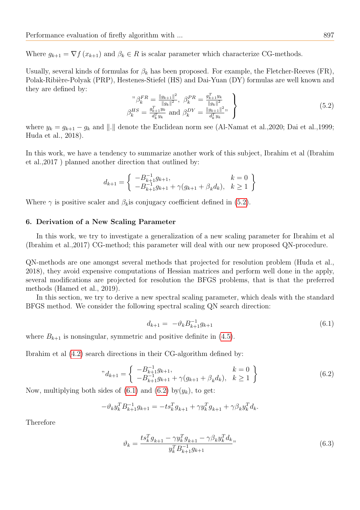Where  $g_{k+1} = \nabla f(x_{k+1})$  and  $\beta_k \in R$  is scalar parameter which characterize CG-methods.

Usually, several kinds of formulas for  $\beta_k$  has been proposed. For example, the Fletcher-Reeves (FR), Polak-Ribière-Polyak (PRP), Hestenes-Stiefel (HS) and Dai-Yuan (DY) formulas are well known and they are defined by:

<span id="page-4-0"></span>
$$
\begin{aligned}\n\mathcal{P}_k^{FR} &= \frac{\|g_{k+1}\|^2}{\|g_k\|^2}, \ \beta_k^{PR} = \frac{g_{k+1}^T y_k}{\|g_k\|^2} \\
\beta_k^{HS} &= \frac{g_{k+1}^T y_k}{d_k^T y_k} \ \text{and} \ \beta_k^{DY} = \frac{\|g_{k+1}\|^2}{d_k^T y_k},\n\end{aligned} \tag{5.2}
$$

where  $y_k = g_{k+1} - g_k$  and  $\| \cdot \|$  denote the Euclidean norm see (Al-Namat et al.,2020; Dai et al.,1999; Huda et al., 2018).

In this work, we have a tendency to summarize another work of this subject, Ibrahim et al (Ibrahim et al.,2017 ) planned another direction that outlined by:

$$
d_{k+1} = \begin{cases} -B_{k+1}^{-1}g_{k+1}, & k=0\\ -B_{k+1}^{-1}g_{k+1} + \gamma(g_{k+1} + \beta_k d_k), & k \ge 1 \end{cases}
$$

Where  $\gamma$  is positive scaler and  $\beta_k$  is conjugacy coefficient defined in [\(5.2\)](#page-4-0).

### 6. Derivation of a New Scaling Parameter

In this work, we try to investigate a generalization of a new scaling parameter for Ibrahim et al (Ibrahim et al.,2017) CG-method; this parameter will deal with our new proposed QN-procedure.

QN-methods are one amongst several methods that projected for resolution problem (Huda et al., 2018), they avoid expensive computations of Hessian matrices and perform well done in the apply, several modifications are projected for resolution the BFGS problems, that is that the preferred methods (Hamed et al., 2019).

In this section, we try to derive a new spectral scaling parameter, which deals with the standard BFGS method. We consider the following spectral scaling QN search direction:

<span id="page-4-1"></span>
$$
d_{k+1} = -\vartheta_k B_{k+1}^{-1} g_{k+1} \tag{6.1}
$$

where  $B_{k+1}$  is nonsingular, symmetric and positive definite in [\(4.5\)](#page-3-2).

Ibrahim et al [\(4.2\)](#page-3-0) search directions in their CG-algorithm defined by:

<span id="page-4-2"></span>
$$
"d_{k+1} = \begin{cases} -B_{k+1}^{-1}g_{k+1}, & k = 0\\ -B_{k+1}^{-1}g_{k+1} + \gamma(g_{k+1} + \beta_k d_k), & k \ge 1 \end{cases}
$$
(6.2)

Now, multiplying both sides of  $(6.1)$  and  $(6.2)$  by $(y_k)$ , to get:

$$
-\partial_k y_k^T B_{k+1}^{-1} g_{k+1} = -ts_k^T g_{k+1} + \gamma y_k^T g_{k+1} + \gamma \beta_k y_k^T d_k.
$$

Therefore

<span id="page-4-3"></span>
$$
\vartheta_k = \frac{ts_k^T g_{k+1} - \gamma y_k^T g_{k+1} - \gamma \beta_k y_k^T d_k}{y_k^T B_{k+1}^{-1} g_{k+1}},
$$
\n(6.3)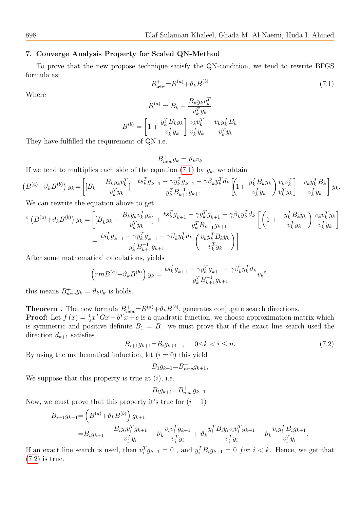### 7. Converge Analysis Property for Scaled QN-Method

To prove that the new propose technique satisfy the QN-condition, we tend to rewrite BFGS formula as:

<span id="page-5-0"></span>
$$
B_{\text{new}}^{+} = B^{(a)} + \vartheta_k B^{(b)} \tag{7.1}
$$

Where

$$
B^{(a)} = B_k - \frac{B_k y_k v_k^T}{v_k^T y_k}
$$

$$
B^{(b)} = \left[1 + \frac{y_k^T B_k y_k}{v_k^T y_k}\right] \frac{v_k v_k^T}{v_k^T y_k} - \frac{v_k y_k^T B_k}{v_k^T y_k}
$$

They have fulfilled the requirement of QN i.e.

$$
B_{new}^+ y_k = \vartheta_k v_k
$$

If we tend to multiplies each side of the equation [\(7.1\)](#page-5-0) by  $y_k$ , we obtain

$$
(B^{(a)} + \vartheta_k B^{(b)}) y_k = \left[ [B_k - \frac{B_k y_k v_k^T}{v_k^T y_k}] + \frac{t s_k^T g_{k+1} - \gamma y_k^T g_{k+1} - \gamma \beta_k y_k^T d_k}{y_k^T B_{k+1}^{-1} g_{k+1}} \left[ \left( 1 + \frac{y_k^T B_k y_k}{v_k^T y_k} \right) \frac{v_k v_k^T}{v_k^T y_k} \right] - \frac{v_k y_k^T B_k}{v_k^T y_k} \right] y_k.
$$

We can rewrite the equation above to get:

$$
\begin{split} \n\text{``}\left(B^{(a)} + \vartheta_k B^{(b)}\right) y_k &= \left[ \left[B_k y_k - \frac{B_k y_k v_k^T y_k}{v_k^T y_k}\right] + \frac{t s_k^T g_{k+1} - \gamma y_k^T g_{k+1} - \gamma \beta_k y_k^T d_k}{y_k^T B_{k+1}^{-1} g_{k+1}} \right] \left[ \left(1 + \frac{y_k^T B_k y_k}{v_k^T y_k}\right) \frac{v_k v_k^T y_k}{v_k^T y_k} \right] \\ \n&- \frac{t s_k^T g_{k+1} - \gamma y_k^T g_{k+1} - \gamma \beta_k y_k^T d_k}{y_k^T B_{k+1}^{-1} g_{k+1}} \left( \frac{v_k y_k^T B_k y_k}{v_k^T y_k} \right) \right] \n\end{split}
$$

After some mathematical calculations, yields

$$
\left(rmB^{(a)} + \vartheta_k B^{(b)}\right)y_k = \frac{ts_k^T g_{k+1} - \gamma y_k^T g_{k+1} - \gamma \beta_k y_k^T d_k}{y_k^T B_{k+1}^{-1} g_{k+1}} v_k^*.
$$

this means  $B_{new}^+ y_k = \vartheta_k v_k$  is holds.

**Theorem**. The new formula  $B_{new}^+ = B^{(a)} + \vartheta_k B^{(b)}$ , generates conjugate search directions.

**Proof:** Let  $f(x) = \frac{1}{2}x^T Gx + b^T x + c$  is a quadratic function, we choose approximation matrix which is symmetric and positive definite  $B_1 = B$ , we must prove that if the exact line search used the direction  $d_{k+1}$  satisfies

<span id="page-5-1"></span>
$$
B_{i+1}g_{k+1} = B_i g_{k+1} \quad , \quad 0 \le k < i \le n. \tag{7.2}
$$

By using the mathematical induction, let  $(i = 0)$  this yield

$$
B_1 g_{k+1} = B_{new}^+ g_{k+1},
$$

We suppose that this property is true at  $(i)$ , i.e.

$$
B_i g_{k+1} = B_{new}^+ g_{k+1}.
$$

Now, we must prove that this property it's true for  $(i + 1)$ 

$$
B_{i+1}g_{k+1} = \left(B^{(a)} + \vartheta_k B^{(b)}\right)g_{k+1}
$$
  
= 
$$
B_ig_{k+1} - \frac{B_i y_i v_i^T g_{k+1}}{v_i^T y_i} + \vartheta_k \frac{v_i v_i^T g_{k+1}}{v_i^T y_i} + \vartheta_k \frac{y_i^T B_i y_i v_i v_i^T g_{k+1}}{v_i^T y_i} - \vartheta_k \frac{v_i y_i^T B_i g_{k+1}}{v_i^T y_i}.
$$

If an exact line search is used, then  $v_i^T g_{k+1} = 0$ , and  $y_i^T B_i g_{k+1} = 0$  for  $i < k$ . Hence, we get that [\(7.2\)](#page-5-1) is true.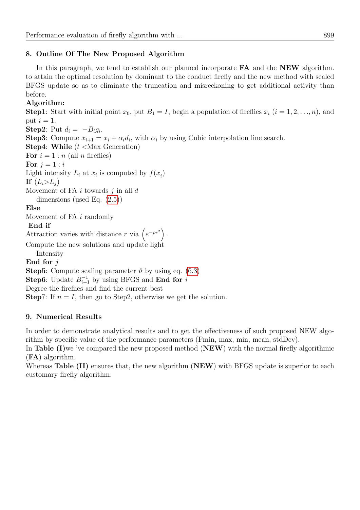# 8. Outline Of The New Proposed Algorithm

In this paragraph, we tend to establish our planned incorporate **FA** and the **NEW** algorithm. to attain the optimal resolution by dominant to the conduct firefly and the new method with scaled BFGS update so as to eliminate the truncation and misreckoning to get additional activity than before.

# Algorithm:

**Step1**: Start with initial point  $x_0$ , put  $B_1 = I$ , begin a population of fireflies  $x_i$   $(i = 1, 2, ..., n)$ , and put  $i = 1$ . Step2: Put  $d_i = -B_i g_i$ . **Step3**: Compute  $x_{i+1} = x_i + \alpha_i d_i$ , with  $\alpha_i$  by using Cubic interpolation line search. **Step4: While**  $(t \leq \text{Max Generation})$ For  $i = 1 : n$  (all *n* fireflies) For  $i = 1 : i$ Light intensity  $L_i$  at  $x_i$  is computed by  $f(x_i)$ If  $(L_i>L_i)$ Movement of FA  $i$  towards  $j$  in all  $d$ dimensions (used Eq. [\(2.5\)](#page-2-0)) Else Movement of FA *i* randomly End if Attraction varies with distance r via  $(e^{-\rho r^2})$ . Compute the new solutions and update light Intensity End for j **Step5**: Compute scaling parameter  $\vartheta$  by using eq. [\(6.3\)](#page-4-3) **Step6**: Update  $B_{i+1}^{-1}$  by using BFGS and **End for** i Degree the fireflies and find the current best **Step7:** If  $n = I$ , then go to Step2, otherwise we get the solution.

# 9. Numerical Results

In order to demonstrate analytical results and to get the effectiveness of such proposed NEW algorithm by specific value of the performance parameters (Fmin, max, min, mean, stdDev).

In Table (I) we ve compared the new proposed method (NEW) with the normal firefly algorithmic (FA) algorithm.

Whereas Table (II) ensures that, the new algorithm (NEW) with BFGS update is superior to each customary firefly algorithm.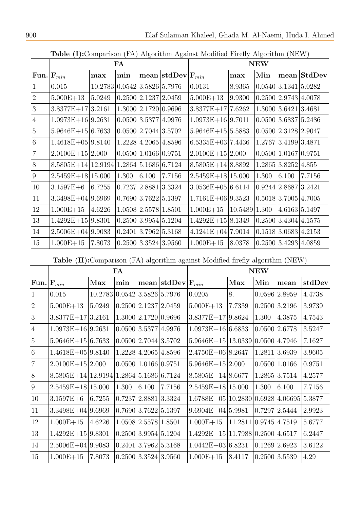|                 | FA                                        |                              |                      |                                  |                                                              | <b>NEW</b>           |               |       |                                  |             |
|-----------------|-------------------------------------------|------------------------------|----------------------|----------------------------------|--------------------------------------------------------------|----------------------|---------------|-------|----------------------------------|-------------|
|                 | $\mathbf{Fun}.  \mathbf{F}_{min}$         | max                          | min                  |                                  | $ {\rm \bf mean}\,  {\rm \bf stdDev}  {\rm F}_{min} \rangle$ |                      | max           | Min   |                                  | mean StdDev |
| $\mathbf{1}$    | 0.015                                     | 10.2783 0.0542 3.5826 5.7976 |                      |                                  |                                                              | 0.0131               | 8.9365        |       | 0.0540 3.1341 5.0282             |             |
| $ 2\rangle$     | $5.000E + 13$                             | 5.0249                       |                      |                                  | 0.2500 2.1237 2.0459                                         | $5.000E + 13$        | 9.9300        |       | 0.2500 2.9743 4.0078             |             |
| 3               | $3.8377E+17 3.2161$                       |                              |                      |                                  | 1.3000 2.1720 0.9696                                         | $3.8377E+17$ 7.6262  |               |       | 1.3000 3.6421 3.4681             |             |
| $ 4\rangle$     | $1.0973E+16 9.2631$                       |                              |                      |                                  | 0.0500 3.5377 4.9976                                         | $1.0973E+16 9.7011$  |               |       | 0.0500 3.6837 5.2486             |             |
| 5               | $5.9646E+156.7633$                        |                              |                      |                                  | 0.0500 2.7044 3.5702                                         | $5.9646E+155.5883$   |               |       | 0.0500 2.3128 2.9047             |             |
| $\vert 6 \vert$ | $1.4618E + 05 9.8140$                     |                              |                      |                                  | 1.2228 4.2065 4.8596                                         | $6.5335E+03$  7.4436 |               |       | 1.2767 3.4199 3.4871             |             |
| $\overline{7}$  | $2.0100E+15 2.000$                        |                              | 0.0500 1.0166 0.9751 |                                  |                                                              | $2.0100E+15 2.000$   |               |       | 0.0500 1.0167 0.9751             |             |
| 8               | $8.5805E+14 12.9194 1.2864 5.1686 6.7124$ |                              |                      |                                  |                                                              | $8.5805E+14 8.8892$  |               |       | 1.2865 3.8252 4.855              |             |
| $ 9\rangle$     | $2.5459E+18 15.000$                       |                              | $\vert 1.300 \vert$  |                                  | $ 6.100 \t   7.7156$                                         | $2.5459E+18 15.000$  |               | 1.300 | $\vert 6.100 \vert$              | 7.7156      |
| 10              | 3.1597E+6                                 | 6.7255                       |                      |                                  | $\vert 0.7237 \vert 2.8881 \vert 3.3324 \vert$               | $3.0536E+05 6.6114$  |               |       | $0.9244 \mid 2.8687 \mid 3.2421$ |             |
| 11              | $3.3498E+04 9.6969$                       |                              |                      | 0.7690 3.7622 5.1397             |                                                              | $1.7161E+06 9.3523$  |               |       | 0.5018 3.7005 4.7005             |             |
| 12              | $1.000E + 15$                             | 4.6226                       |                      | $1.0508 \mid 2.5578 \mid 1.8501$ |                                                              | $1.000E + 15$        | 10.5489 1.300 |       | 4.6163 5.1497                    |             |
| 13              | $1.4292E+15 9.8301$                       |                              |                      |                                  | 0.2500 3.9954 5.1204                                         | $1.4292E+158.1349$   |               |       | 0.2500 3.4304 4.1575             |             |
| 14              | $2.5006E+04 9.9083$                       |                              |                      |                                  | 0.2401 3.7962 5.3168                                         | $4.1241E+04 7.9014$  |               |       | 0.1518 3.0683 4.2153             |             |
| $ 15\rangle$    | $1.000E + 15$                             | 7.8073                       |                      |                                  | 0.2500 3.3524 3.9560                                         | $1.000E + 15$        | 8.0378        |       | 0.2500 3.4293 4.0859             |             |

Table (I):Comparison (FA) Algorithm Against Modified Firefly Algorithm (NEW)

Table (II):Comparison (FA) algorithm against Modified firefly algorithm (NEW)

|                 | FA                                        |                              |        |                      |                          | <b>NEW</b>                           |                       |       |                      |        |
|-----------------|-------------------------------------------|------------------------------|--------|----------------------|--------------------------|--------------------------------------|-----------------------|-------|----------------------|--------|
| Fun.            | $\mathbf{F}_{min}$                        | ${\rm Max}$                  | min    |                      | mean   std $Dev F_{min}$ |                                      | Max                   | Min   | mean                 | stdDev |
| $\mathbf{1}$    | 0.015                                     | 10.2783 0.0542 3.5826 5.7976 |        |                      |                          | 0.0205                               | 8.                    |       | 0.0596 2.8959        | 4.4738 |
| $\overline{2}$  | $5.000E + 13$                             | 5.0249                       |        | 0.2500 2.1237 2.0459 |                          | $5.000E + 13$                        | 7.7339                |       | 0.2500 3.2196        | 3.9739 |
| 3               | $3.8377E+17 3.2161$                       |                              |        | 1.3000 2.1720 0.9696 |                          | $3.8377E+17 9.8624$                  |                       | 1.300 | 4.3875               | 4.7543 |
| $\overline{4}$  | $1.0973E+16 9.2631$                       |                              |        | 0.0500 3.5377 4.9976 |                          | $1.0973E+1666.6833$                  |                       |       | 0.0500 2.6778        | 3.5247 |
| $\overline{5}$  | $5.9646E+156.7633$                        |                              |        | 0.0500 2.7044 3.5702 |                          | $5.9646E+15 13.0339 0.0500 4.7946$   |                       |       |                      | 7.1627 |
| $6\,$           | $1.4618E + 05 9.8140$                     |                              |        | 1.2228 4.2065 4.8596 |                          | $2.4750E + 068.2647$                 |                       |       | 1.2811 3.6939        | 3.9605 |
| $\overline{7}$  | $2.0100E + 15/2.000$                      |                              |        | 0.0500 1.0166 0.9751 |                          | $5.9646E+15 2.000$                   |                       |       | 0.0500 1.0166        | 0.9751 |
| $8\,$           | $8.5805E+14 12.9194 1.2864 5.1686 6.7124$ |                              |        |                      |                          | $8.5805E+14 8.6677$                  |                       |       | 1.2865 3.7514        | 4.2577 |
| $9\phantom{.0}$ | $2.5459E+18 15.000$                       |                              | 1.300  | 6.100                | 7.7156                   | $2.5459E+18 15.000$                  |                       | 1.300 | 6.100                | 7.7156 |
| 10              | $3.1597E + 6$                             | 6.7255                       |        |                      | 0.7237 2.8881 3.3324     | $1.6788E+05 10.2830 0.6928 4.06695 $ |                       |       |                      | 5.3877 |
| 11              | $3.3498E + 04 9.6969$                     |                              |        | 0.7690 3.7622 5.1397 |                          | $9.6904E+04 5.9981$                  |                       |       | 0.7297 2.5444        | 2.9923 |
| 12              | $1.000E + 15$                             | 4.6226                       |        | 1.0508 2.5578 1.8501 |                          | $1.000E + 15$                        | 11.2811 0.9745 4.7519 |       |                      | 5.6777 |
| 13              | $1.4292E+15 9.8301$                       |                              |        |                      | 0.2500 3.9954 5.1204     | $1.4292E+15 11.7988 0.2500 4.6517$   |                       |       |                      | 6.2447 |
| 14              | $2.5006E + 04 9.9083$                     |                              | 0.2401 | 3.7962 5.3168        |                          | $1.0442E+03$ 6.8231                  |                       |       | $0.1269 \mid 2.6923$ | 3.6122 |
| 15              | $1.000E + 15$                             | 7.8073                       |        | 0.2500 3.3524 3.9560 |                          | $1.000E + 15$                        | 8.4117                |       | 0.2500 3.5539        | 4.29   |